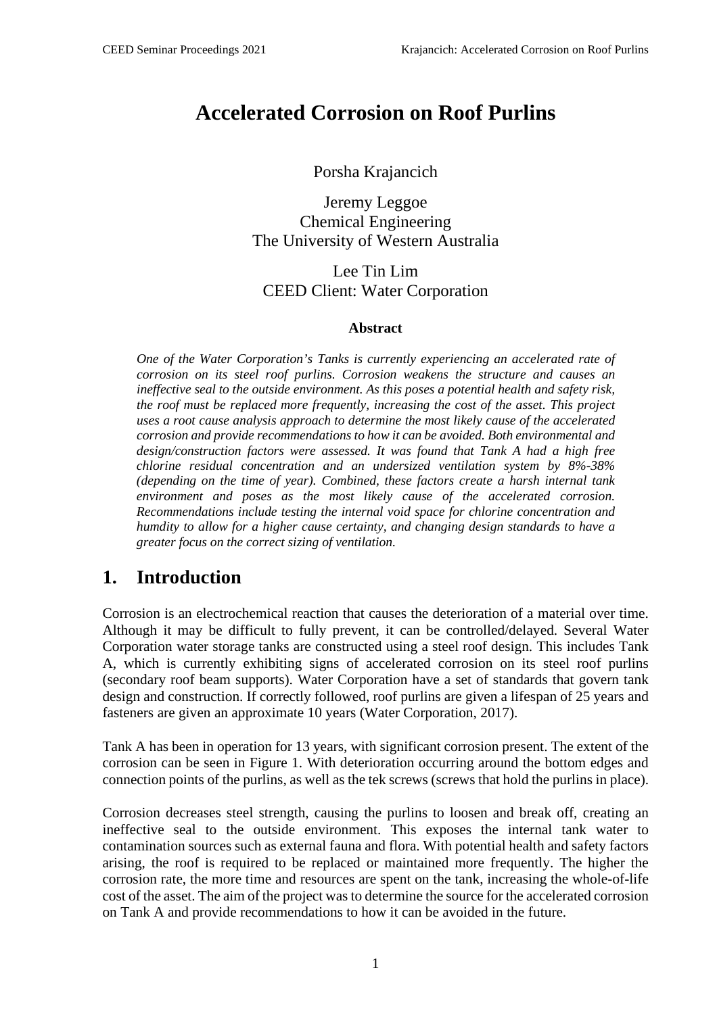# **Accelerated Corrosion on Roof Purlins**

Porsha Krajancich

Jeremy Leggoe Chemical Engineering The University of Western Australia

Lee Tin Lim CEED Client: Water Corporation

#### **Abstract**

*One of the Water Corporation's Tanks is currently experiencing an accelerated rate of corrosion on its steel roof purlins. Corrosion weakens the structure and causes an ineffective seal to the outside environment. As this poses a potential health and safety risk, the roof must be replaced more frequently, increasing the cost of the asset. This project uses a root cause analysis approach to determine the most likely cause of the accelerated corrosion and provide recommendations to how it can be avoided. Both environmental and design/construction factors were assessed. It was found that Tank A had a high free chlorine residual concentration and an undersized ventilation system by 8%-38% (depending on the time of year). Combined, these factors create a harsh internal tank environment and poses as the most likely cause of the accelerated corrosion. Recommendations include testing the internal void space for chlorine concentration and humdity to allow for a higher cause certainty, and changing design standards to have a greater focus on the correct sizing of ventilation.*

### **1. Introduction**

Corrosion is an electrochemical reaction that causes the deterioration of a material over time. Although it may be difficult to fully prevent, it can be controlled/delayed. Several Water Corporation water storage tanks are constructed using a steel roof design. This includes Tank A, which is currently exhibiting signs of accelerated corrosion on its steel roof purlins (secondary roof beam supports). Water Corporation have a set of standards that govern tank design and construction. If correctly followed, roof purlins are given a lifespan of 25 years and fasteners are given an approximate 10 years (Water Corporation, 2017).

Tank A has been in operation for 13 years, with significant corrosion present. The extent of the corrosion can be seen in Figure 1. With deterioration occurring around the bottom edges and connection points of the purlins, as well as the tek screws (screws that hold the purlins in place).

Corrosion decreases steel strength, causing the purlins to loosen and break off, creating an ineffective seal to the outside environment. This exposes the internal tank water to contamination sources such as external fauna and flora. With potential health and safety factors arising, the roof is required to be replaced or maintained more frequently. The higher the corrosion rate, the more time and resources are spent on the tank, increasing the whole-of-life cost of the asset. The aim of the project was to determine the source for the accelerated corrosion on Tank A and provide recommendations to how it can be avoided in the future.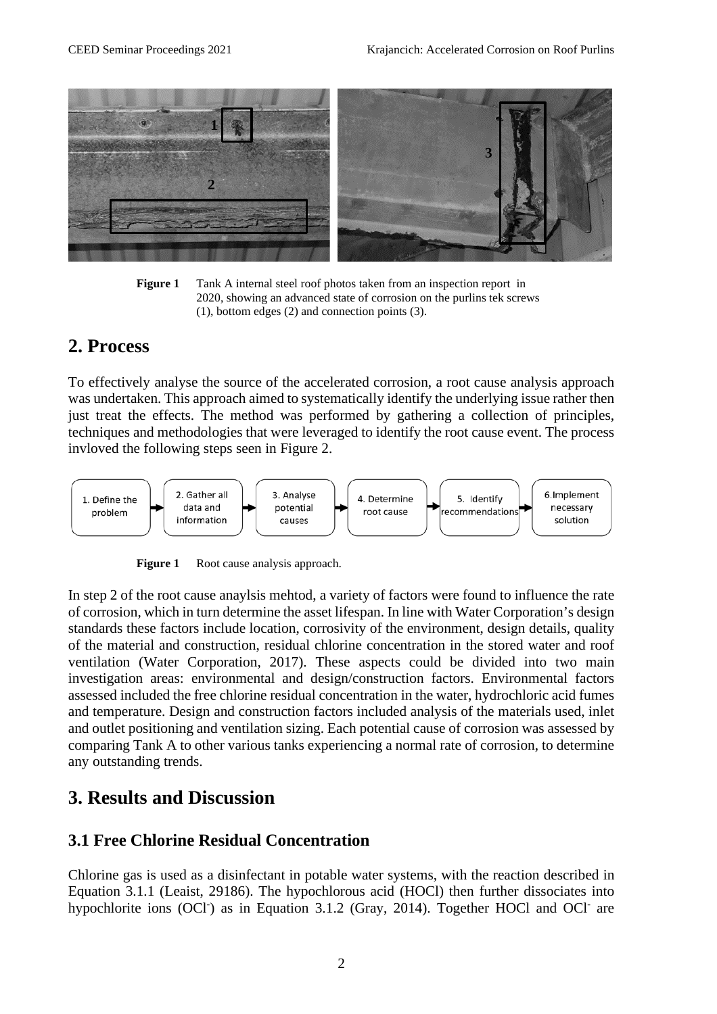

**Figure 1** Tank A internal steel roof photos taken from an inspection report in 2020, showing an advanced state of corrosion on the purlins tek screws (1), bottom edges (2) and connection points (3).

### **2. Process**

To effectively analyse the source of the accelerated corrosion, a root cause analysis approach was undertaken. This approach aimed to systematically identify the underlying issue rather then just treat the effects. The method was performed by gathering a collection of principles, techniques and methodologies that were leveraged to identify the root cause event. The process invloved the following steps seen in Figure 2.



**Figure 1** Root cause analysis approach.

In step 2 of the root cause anaylsis mehtod, a variety of factors were found to influence the rate of corrosion, which in turn determine the asset lifespan. In line with Water Corporation's design standards these factors include location, corrosivity of the environment, design details, quality of the material and construction, residual chlorine concentration in the stored water and roof ventilation (Water Corporation, 2017). These aspects could be divided into two main investigation areas: environmental and design/construction factors. Environmental factors assessed included the free chlorine residual concentration in the water, hydrochloric acid fumes and temperature. Design and construction factors included analysis of the materials used, inlet and outlet positioning and ventilation sizing. Each potential cause of corrosion was assessed by comparing Tank A to other various tanks experiencing a normal rate of corrosion, to determine any outstanding trends.

## **3. Results and Discussion**

### **3.1 Free Chlorine Residual Concentration**

Chlorine gas is used as a disinfectant in potable water systems, with the reaction described in Equation 3.1.1 (Leaist, 29186). The hypochlorous acid (HOCl) then further dissociates into hypochlorite ions (OCl<sup>-</sup>) as in Equation 3.1.2 (Gray, 2014). Together HOCl and OCl<sup>-</sup> are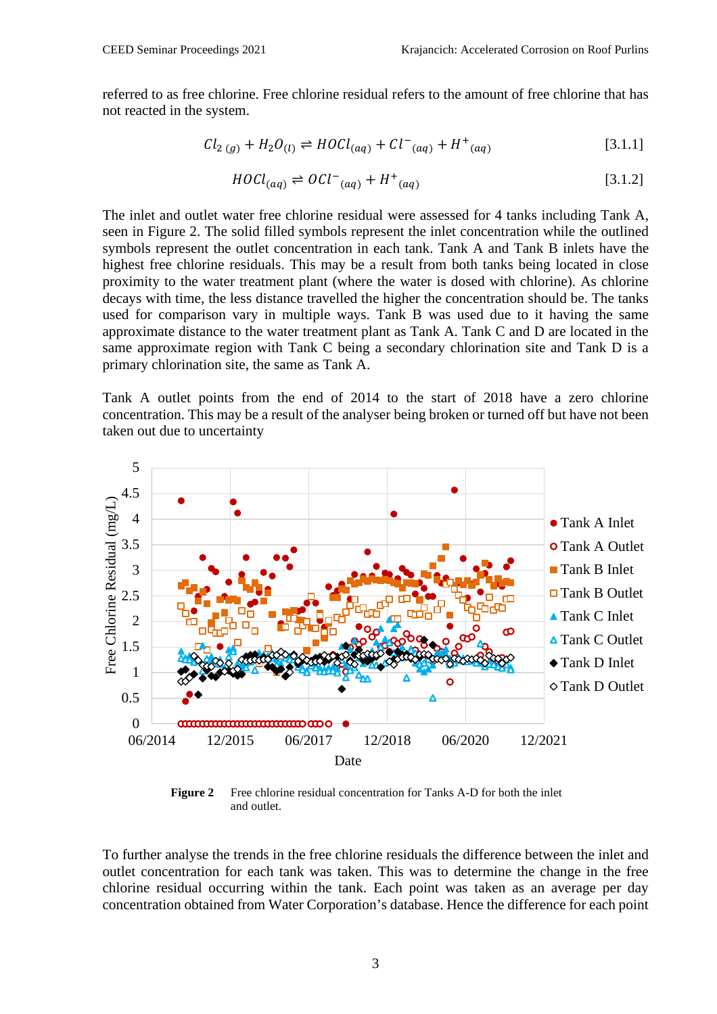referred to as free chlorine. Free chlorine residual refers to the amount of free chlorine that has not reacted in the system.

$$
Cl_{2(g)} + H_2O_{(l)} \rightleftharpoons H OCl_{(aq)} + Cl^{-}(aq) + H^{+}(aq)
$$
\n[3.1.1]

$$
HOL_{(aq)} \rightleftharpoons OCl^{-}(aq) + H^{+}(aq)
$$
 [3.1.2]

The inlet and outlet water free chlorine residual were assessed for 4 tanks including Tank A, seen in Figure 2. The solid filled symbols represent the inlet concentration while the outlined symbols represent the outlet concentration in each tank. Tank A and Tank B inlets have the highest free chlorine residuals. This may be a result from both tanks being located in close proximity to the water treatment plant (where the water is dosed with chlorine). As chlorine decays with time, the less distance travelled the higher the concentration should be. The tanks used for comparison vary in multiple ways. Tank B was used due to it having the same approximate distance to the water treatment plant as Tank A. Tank C and D are located in the same approximate region with Tank C being a secondary chlorination site and Tank D is a primary chlorination site, the same as Tank A.

Tank A outlet points from the end of 2014 to the start of 2018 have a zero chlorine concentration. This may be a result of the analyser being broken or turned off but have not been taken out due to uncertainty



Figure 2 Free chlorine residual concentration for Tanks A-D for both the inlet and outlet.

To further analyse the trends in the free chlorine residuals the difference between the inlet and outlet concentration for each tank was taken. This was to determine the change in the free chlorine residual occurring within the tank. Each point was taken as an average per day concentration obtained from Water Corporation's database. Hence the difference for each point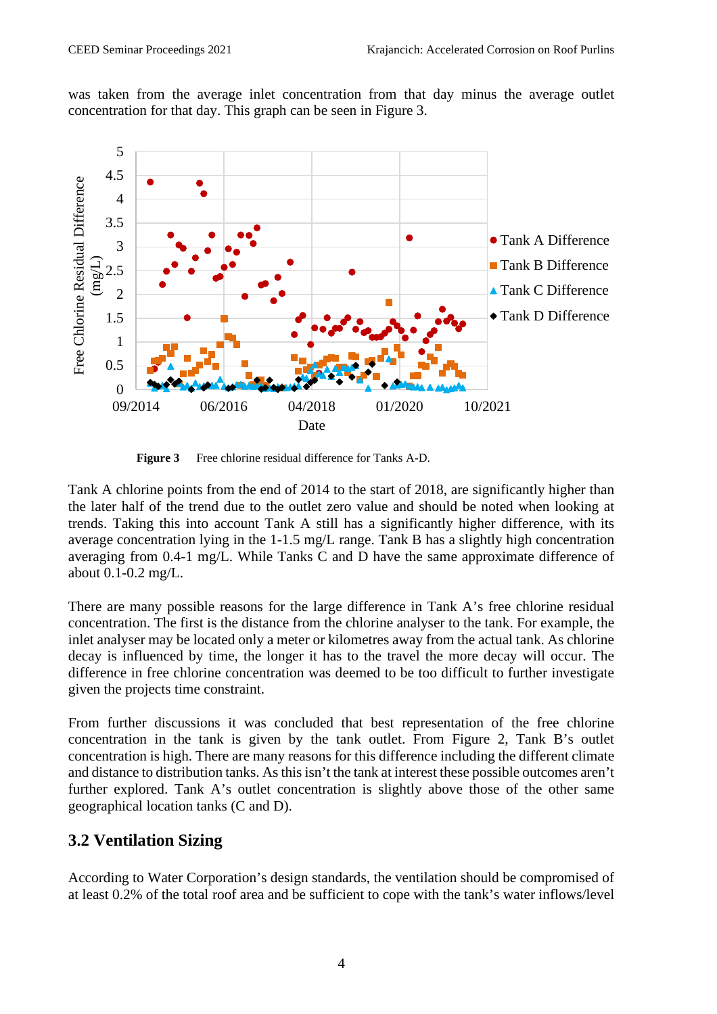was taken from the average inlet concentration from that day minus the average outlet concentration for that day. This graph can be seen in Figure 3.



**Figure 3** Free chlorine residual difference for Tanks A-D.

Tank A chlorine points from the end of 2014 to the start of 2018, are significantly higher than the later half of the trend due to the outlet zero value and should be noted when looking at trends. Taking this into account Tank A still has a significantly higher difference, with its average concentration lying in the 1-1.5 mg/L range. Tank B has a slightly high concentration averaging from 0.4-1 mg/L. While Tanks C and D have the same approximate difference of about 0.1-0.2 mg/L.

There are many possible reasons for the large difference in Tank A's free chlorine residual concentration. The first is the distance from the chlorine analyser to the tank. For example, the inlet analyser may be located only a meter or kilometres away from the actual tank. As chlorine decay is influenced by time, the longer it has to the travel the more decay will occur. The difference in free chlorine concentration was deemed to be too difficult to further investigate given the projects time constraint.

From further discussions it was concluded that best representation of the free chlorine concentration in the tank is given by the tank outlet. From Figure 2, Tank B's outlet concentration is high. There are many reasons for this difference including the different climate and distance to distribution tanks. As this isn't the tank at interest these possible outcomes aren't further explored. Tank A's outlet concentration is slightly above those of the other same geographical location tanks (C and D).

### **3.2 Ventilation Sizing**

According to Water Corporation's design standards, the ventilation should be compromised of at least 0.2% of the total roof area and be sufficient to cope with the tank's water inflows/level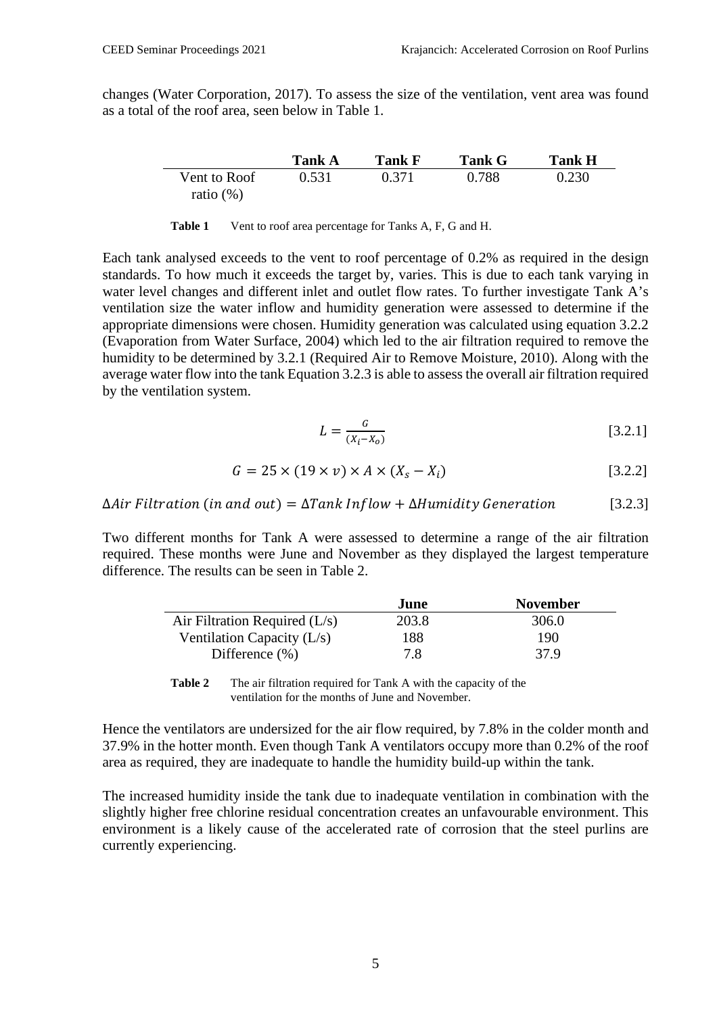changes (Water Corporation, 2017). To assess the size of the ventilation, vent area was found as a total of the roof area, seen below in Table 1.

|              | Tank A | <b>Tank F</b> | <b>Tank G</b> | <b>Tank H</b> |
|--------------|--------|---------------|---------------|---------------|
| Vent to Roof | 0.531  | 0.371         | 0.788         | 0.230         |
| ratio $(\%)$ |        |               |               |               |

**Table 1** Vent to roof area percentage for Tanks A, F, G and H.

Each tank analysed exceeds to the vent to roof percentage of 0.2% as required in the design standards. To how much it exceeds the target by, varies. This is due to each tank varying in water level changes and different inlet and outlet flow rates. To further investigate Tank A's ventilation size the water inflow and humidity generation were assessed to determine if the appropriate dimensions were chosen. Humidity generation was calculated using equation 3.2.2 (Evaporation from Water Surface, 2004) which led to the air filtration required to remove the humidity to be determined by 3.2.1 (Required Air to Remove Moisture, 2010). Along with the average water flow into the tank Equation 3.2.3 is able to assess the overall air filtration required by the ventilation system.

$$
L = \frac{G}{(X_i - X_o)}
$$
 [3.2.1]

$$
G = 25 \times (19 \times v) \times A \times (X_s - X_i)
$$
 [3.2.2]

 $\Delta$ Air Filtration (in and out) =  $\Delta$ Tank Inflow +  $\Delta$ Humidity Generation [3.2.3]

Two different months for Tank A were assessed to determine a range of the air filtration required. These months were June and November as they displayed the largest temperature difference. The results can be seen in Table 2.

|                                 | June  | <b>November</b> |
|---------------------------------|-------|-----------------|
| Air Filtration Required $(L/s)$ | 203.8 | 306.0           |
| Ventilation Capacity $(L/s)$    | 188   | 190             |
| Difference $(\% )$              | 7.8   | 37.9            |

**Table 2** The air filtration required for Tank A with the capacity of the ventilation for the months of June and November.

Hence the ventilators are undersized for the air flow required, by 7.8% in the colder month and 37.9% in the hotter month. Even though Tank A ventilators occupy more than 0.2% of the roof area as required, they are inadequate to handle the humidity build-up within the tank.

The increased humidity inside the tank due to inadequate ventilation in combination with the slightly higher free chlorine residual concentration creates an unfavourable environment. This environment is a likely cause of the accelerated rate of corrosion that the steel purlins are currently experiencing.